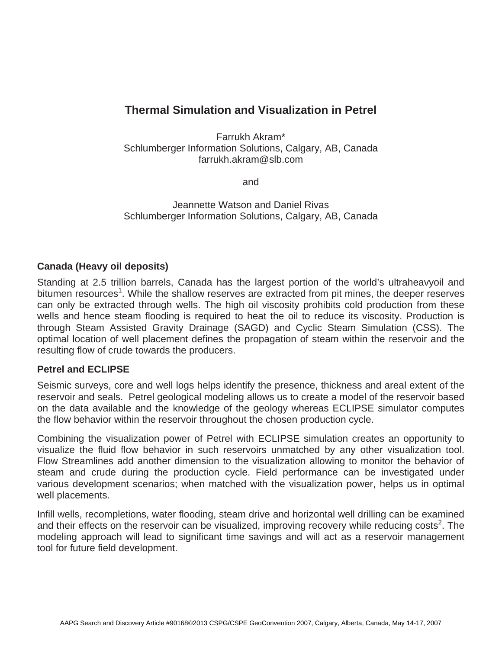## **Thermal Simulation and Visualization in Petrel**

Farrukh Akram\* Schlumberger Information Solutions, Calgary, AB, Canada farrukh.akram@slb.com

and

Jeannette Watson and Daniel Rivas Schlumberger Information Solutions, Calgary, AB, Canada

## **Canada (Heavy oil deposits)**

Standing at 2.5 trillion barrels, Canada has the largest portion of the world's ultraheavyoil and bitumen resources<sup>1</sup>. While the shallow reserves are extracted from pit mines, the deeper reserves can only be extracted through wells. The high oil viscosity prohibits cold production from these wells and hence steam flooding is required to heat the oil to reduce its viscosity. Production is through Steam Assisted Gravity Drainage (SAGD) and Cyclic Steam Simulation (CSS). The optimal location of well placement defines the propagation of steam within the reservoir and the resulting flow of crude towards the producers.

## **Petrel and ECLIPSE**

Seismic surveys, core and well logs helps identify the presence, thickness and areal extent of the reservoir and seals. Petrel geological modeling allows us to create a model of the reservoir based on the data available and the knowledge of the geology whereas ECLIPSE simulator computes the flow behavior within the reservoir throughout the chosen production cycle.

Combining the visualization power of Petrel with ECLIPSE simulation creates an opportunity to visualize the fluid flow behavior in such reservoirs unmatched by any other visualization tool. Flow Streamlines add another dimension to the visualization allowing to monitor the behavior of steam and crude during the production cycle. Field performance can be investigated under various development scenarios; when matched with the visualization power, helps us in optimal well placements.

Infill wells, recompletions, water flooding, steam drive and horizontal well drilling can be examined and their effects on the reservoir can be visualized, improving recovery while reducing costs<sup>2</sup>. The modeling approach will lead to significant time savings and will act as a reservoir management tool for future field development.